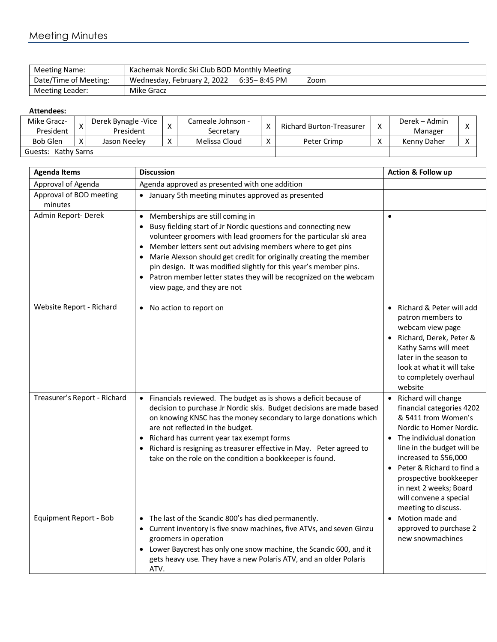## Meeting Minutes

| Meeting Name:         | Kachemak Nordic Ski Club BOD Monthly Meeting |              |      |  |  |
|-----------------------|----------------------------------------------|--------------|------|--|--|
| Date/Time of Meeting: | Wednesday, February 2, 2022                  | 6:35-8:45 PM | Zoom |  |  |
| Meeting Leader:       | Mike Gracz                                   |              |      |  |  |

## **Attendees:**

| Mike Gracz-<br>President |  | Derek Bynagle - Vice<br>President |                   | Cameale Johnson -<br>Secretary | $\checkmark$ | Richard Burton-Treasurer | Derek – Admin<br>Manager |  |
|--------------------------|--|-----------------------------------|-------------------|--------------------------------|--------------|--------------------------|--------------------------|--|
| <b>Bob Glen</b>          |  | Jason Neelev                      | $\checkmark$<br>⋏ | Melissa Cloud                  |              | Peter Crimp              | Kenny Daher              |  |
| Kathy Sarns<br>Guests:   |  |                                   |                   |                                |              |                          |                          |  |

| <b>Agenda Items</b>                | <b>Discussion</b>                                                                                                                                                                                                                                                                                                                                                                                                                                                                                            | <b>Action &amp; Follow up</b>                                                                                                                                                                                                                                                                                                           |
|------------------------------------|--------------------------------------------------------------------------------------------------------------------------------------------------------------------------------------------------------------------------------------------------------------------------------------------------------------------------------------------------------------------------------------------------------------------------------------------------------------------------------------------------------------|-----------------------------------------------------------------------------------------------------------------------------------------------------------------------------------------------------------------------------------------------------------------------------------------------------------------------------------------|
| Approval of Agenda                 | Agenda approved as presented with one addition                                                                                                                                                                                                                                                                                                                                                                                                                                                               |                                                                                                                                                                                                                                                                                                                                         |
| Approval of BOD meeting<br>minutes | • January 5th meeting minutes approved as presented                                                                                                                                                                                                                                                                                                                                                                                                                                                          |                                                                                                                                                                                                                                                                                                                                         |
| Admin Report-Derek                 | Memberships are still coming in<br>$\bullet$<br>Busy fielding start of Jr Nordic questions and connecting new<br>volunteer groomers with lead groomers for the particular ski area<br>Member letters sent out advising members where to get pins<br>Marie Alexson should get credit for originally creating the member<br>pin design. It was modified slightly for this year's member pins.<br>Patron member letter states they will be recognized on the webcam<br>$\bullet$<br>view page, and they are not | $\bullet$                                                                                                                                                                                                                                                                                                                               |
| Website Report - Richard           | No action to report on<br>$\bullet$                                                                                                                                                                                                                                                                                                                                                                                                                                                                          | • Richard & Peter will add<br>patron members to<br>webcam view page<br>· Richard, Derek, Peter &<br>Kathy Sarns will meet<br>later in the season to<br>look at what it will take<br>to completely overhaul<br>website                                                                                                                   |
| Treasurer's Report - Richard       | Financials reviewed. The budget as is shows a deficit because of<br>$\bullet$<br>decision to purchase Jr Nordic skis. Budget decisions are made based<br>on knowing KNSC has the money secondary to large donations which<br>are not reflected in the budget.<br>Richard has current year tax exempt forms<br>Richard is resigning as treasurer effective in May. Peter agreed to<br>take on the role on the condition a bookkeeper is found.                                                                | Richard will change<br>$\bullet$<br>financial categories 4202<br>& 5411 from Women's<br>Nordic to Homer Nordic.<br>• The individual donation<br>line in the budget will be<br>increased to \$56,000<br>• Peter & Richard to find a<br>prospective bookkeeper<br>in next 2 weeks; Board<br>will convene a special<br>meeting to discuss. |
| Equipment Report - Bob             | The last of the Scandic 800's has died permanently.<br>Current inventory is five snow machines, five ATVs, and seven Ginzu<br>groomers in operation<br>Lower Baycrest has only one snow machine, the Scandic 600, and it<br>$\bullet$<br>gets heavy use. They have a new Polaris ATV, and an older Polaris<br>ATV.                                                                                                                                                                                           | Motion made and<br>$\bullet$<br>approved to purchase 2<br>new snowmachines                                                                                                                                                                                                                                                              |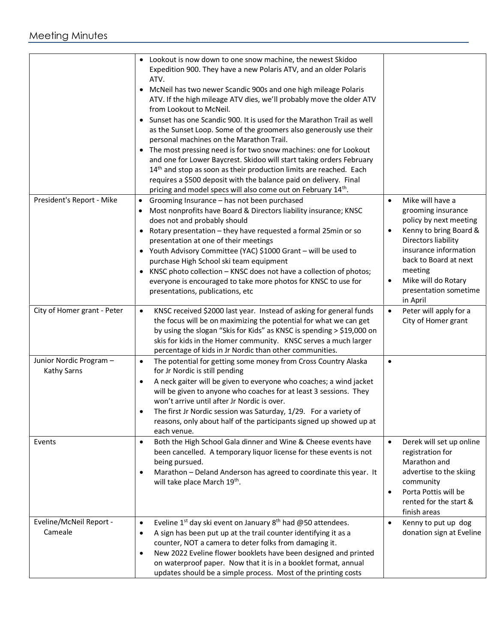|                                        | Lookout is now down to one snow machine, the newest Skidoo<br>Expedition 900. They have a new Polaris ATV, and an older Polaris<br>ATV.<br>McNeil has two newer Scandic 900s and one high mileage Polaris<br>ATV. If the high mileage ATV dies, we'll probably move the older ATV<br>from Lookout to McNeil.<br>Sunset has one Scandic 900. It is used for the Marathon Trail as well<br>as the Sunset Loop. Some of the groomers also generously use their<br>personal machines on the Marathon Trail.<br>• The most pressing need is for two snow machines: one for Lookout<br>and one for Lower Baycrest. Skidoo will start taking orders February<br>14 <sup>th</sup> and stop as soon as their production limits are reached. Each<br>requires a \$500 deposit with the balance paid on delivery. Final<br>pricing and model specs will also come out on February 14 <sup>th</sup> . |                                                                                                                                                                                                                                                                      |
|----------------------------------------|-------------------------------------------------------------------------------------------------------------------------------------------------------------------------------------------------------------------------------------------------------------------------------------------------------------------------------------------------------------------------------------------------------------------------------------------------------------------------------------------------------------------------------------------------------------------------------------------------------------------------------------------------------------------------------------------------------------------------------------------------------------------------------------------------------------------------------------------------------------------------------------------|----------------------------------------------------------------------------------------------------------------------------------------------------------------------------------------------------------------------------------------------------------------------|
| President's Report - Mike              | Grooming Insurance - has not been purchased<br>$\bullet$<br>Most nonprofits have Board & Directors liability insurance; KNSC<br>does not and probably should<br>Rotary presentation - they have requested a formal 25min or so<br>presentation at one of their meetings<br>• Youth Advisory Committee (YAC) \$1000 Grant - will be used to<br>purchase High School ski team equipment<br>KNSC photo collection - KNSC does not have a collection of photos;<br>$\bullet$<br>everyone is encouraged to take more photos for KNSC to use for<br>presentations, publications, etc                                                                                                                                                                                                                                                                                                            | Mike will have a<br>$\bullet$<br>grooming insurance<br>policy by next meeting<br>Kenny to bring Board &<br>Directors liability<br>insurance information<br>back to Board at next<br>meeting<br>Mike will do Rotary<br>$\bullet$<br>presentation sometime<br>in April |
| City of Homer grant - Peter            | KNSC received \$2000 last year. Instead of asking for general funds<br>$\bullet$<br>the focus will be on maximizing the potential for what we can get<br>by using the slogan "Skis for Kids" as KNSC is spending > \$19,000 on<br>skis for kids in the Homer community. KNSC serves a much larger<br>percentage of kids in Jr Nordic than other communities.                                                                                                                                                                                                                                                                                                                                                                                                                                                                                                                              | Peter will apply for a<br>$\bullet$<br>City of Homer grant                                                                                                                                                                                                           |
| Junior Nordic Program -<br>Kathy Sarns | The potential for getting some money from Cross Country Alaska<br>$\bullet$<br>for Jr Nordic is still pending<br>A neck gaiter will be given to everyone who coaches; a wind jacket<br>$\bullet$<br>will be given to anyone who coaches for at least 3 sessions. They<br>won't arrive until after Jr Nordic is over.<br>The first Jr Nordic session was Saturday, 1/29. For a variety of<br>٠<br>reasons, only about half of the participants signed up showed up at<br>each venue.                                                                                                                                                                                                                                                                                                                                                                                                       | $\bullet$                                                                                                                                                                                                                                                            |
| Events                                 | Both the High School Gala dinner and Wine & Cheese events have<br>$\bullet$<br>been cancelled. A temporary liquor license for these events is not<br>being pursued.<br>Marathon - Deland Anderson has agreed to coordinate this year. It<br>$\bullet$<br>will take place March 19th.                                                                                                                                                                                                                                                                                                                                                                                                                                                                                                                                                                                                      | Derek will set up online<br>$\bullet$<br>registration for<br>Marathon and<br>advertise to the skiing<br>community<br>Porta Pottis will be<br>$\bullet$<br>rented for the start &<br>finish areas                                                                     |
| Eveline/McNeil Report -<br>Cameale     | Eveline $1^{st}$ day ski event on January $8^{th}$ had @50 attendees.<br>$\bullet$<br>A sign has been put up at the trail counter identifying it as a<br>$\bullet$<br>counter, NOT a camera to deter folks from damaging it.<br>New 2022 Eveline flower booklets have been designed and printed<br>$\bullet$<br>on waterproof paper. Now that it is in a booklet format, annual<br>updates should be a simple process. Most of the printing costs                                                                                                                                                                                                                                                                                                                                                                                                                                         | Kenny to put up dog<br>$\bullet$<br>donation sign at Eveline                                                                                                                                                                                                         |